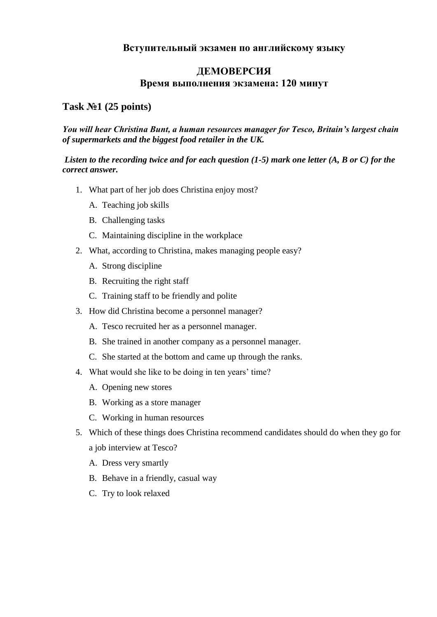# **Вступительный экзамен по английскому языку**

# **ДЕМОВЕРСИЯ Время выполнения экзамена: 120 минут**

# **Task №1 (25 points)**

### *You will hear Christina Bunt, a human resources manager for Tesco, Britain's largest chain of supermarkets and the biggest food retailer in the UK.*

### *Listen to the recording twice and for each question (1-5) mark one letter (A, B or C) for the correct answer.*

- 1. What part of her job does Christina enjoy most?
	- A. Teaching job skills
	- B. Challenging tasks
	- C. Maintaining discipline in the workplace
- 2. What, according to Christina, makes managing people easy?
	- A. Strong discipline
	- B. Recruiting the right staff
	- C. Training staff to be friendly and polite
- 3. How did Christina become a personnel manager?
	- A. Tesco recruited her as a personnel manager.
	- B. She trained in another company as a personnel manager.
	- C. She started at the bottom and came up through the ranks.
- 4. What would she like to be doing in ten years' time?
	- A. Opening new stores
	- B. Working as a store manager
	- C. Working in human resources
- 5. Which of these things does Christina recommend candidates should do when they go for a job interview at Tesco?
	- A. Dress very smartly
	- B. Behave in a friendly, casual way
	- C. Try to look relaxed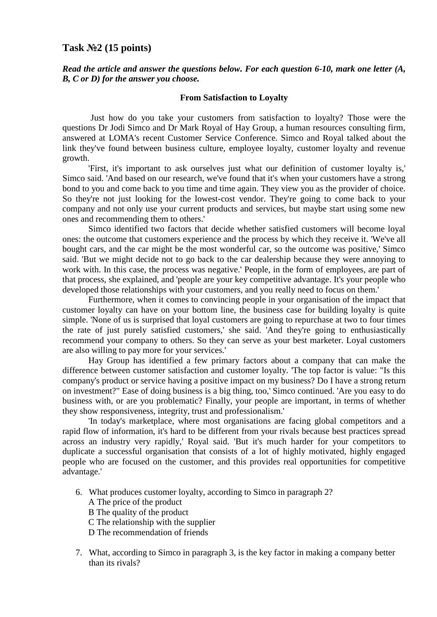### **Task №2 (15 points)**

*Read the article and answer the questions below. For each question 6-10, mark one letter (A, B, C or D) for the answer you choose.*

#### **From Satisfaction to Loyalty**

Just how do you take your customers from satisfaction to loyalty? Those were the questions Dr Jodi Simco and Dr Mark Royal of Hay Group, a human resources consulting firm, answered at LOMA's recent Customer Service Conference. Simco and Royal talked about the link they've found between business culture, employee loyalty, customer loyalty and revenue growth.

'First, it's important to ask ourselves just what our definition of customer loyalty is,' Simco said. 'And based on our research, we've found that it's when your customers have a strong bond to you and come back to you time and time again. They view you as the provider of choice. So they're not just looking for the lowest-cost vendor. They're going to come back to your company and not only use your current products and services, but maybe start using some new ones and recommending them to others.'

Simco identified two factors that decide whether satisfied customers will become loyal ones: the outcome that customers experience and the process by which they receive it. 'We've all bought cars, and the car might be the most wonderful car, so the outcome was positive,' Simco said. 'But we might decide not to go back to the car dealership because they were annoying to work with. In this case, the process was negative.' People, in the form of employees, are part of that process, she explained, and 'people are your key competitive advantage. It's your people who developed those relationships with your customers, and you really need to focus on them.'

Furthermore, when it comes to convincing people in your organisation of the impact that customer loyalty can have on your bottom line, the business case for building loyalty is quite simple. 'None of us is surprised that loyal customers are going to repurchase at two to four times the rate of just purely satisfied customers,' she said. 'And they're going to enthusiastically recommend your company to others. So they can serve as your best marketer. Loyal customers are also willing to pay more for your services.'

Hay Group has identified a few primary factors about a company that can make the difference between customer satisfaction and customer loyalty. 'The top factor is value: "Is this company's product or service having a positive impact on my business? Do I have a strong return on investment?" Ease of doing business is a big thing, too,' Simco continued. 'Are you easy to do business with, or are you problematic? Finally, your people are important, in terms of whether they show responsiveness, integrity, trust and professionalism.'

'In today's marketplace, where most organisations are facing global competitors and a rapid flow of information, it's hard to be different from your rivals because best practices spread across an industry very rapidly,' Royal said. 'But it's much harder for your competitors to duplicate a successful organisation that consists of a lot of highly motivated, highly engaged people who are focused on the customer, and this provides real opportunities for competitive advantage.'

- 6. What produces customer loyalty, according to Simco in paragraph 2?
	- A The price of the product
	- B The quality of the product
	- C The relationship with the supplier
	- D The recommendation of friends
- 7. What, according to Simco in paragraph 3, is the key factor in making a company better than its rivals?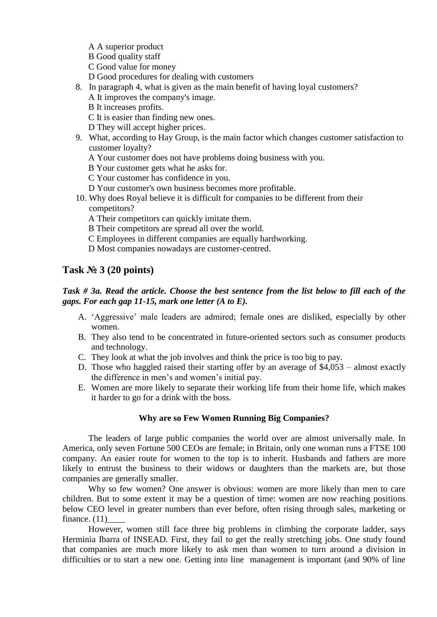- A A superior product
- B Good quality staff
- C Good value for money
- D Good procedures for dealing with customers
- 8. In paragraph 4, what is given as the main benefit of having loyal customers?
	- A It improves the company's image.
	- B It increases profits.
	- C It is easier than finding new ones.
	- D They will accept higher prices.
- 9. What, according to Hay Group, is the main factor which changes customer satisfaction to customer loyalty?
	- A Your customer does not have problems doing business with you.
	- B Your customer gets what he asks for.
	- C Your customer has confidence in you.
	- D Your customer's own business becomes more profitable.
- 10. Why does Royal believe it is difficult for companies to be different from their competitors?
	- A Their competitors can quickly imitate them.
	- B Their competitors are spread all over the world.
	- C Employees in different companies are equally hardworking.
	- D Most companies nowadays are customer-centred.

# **Task № 3 (20 points)**

### *Task # 3a. Read the article. Choose the best sentence from the list below to fill each of the gaps. For each gap 11-15, mark one letter (A to E).*

- A. 'Aggressive' male leaders are admired; female ones are disliked, especially by other women.
- B. They also tend to be concentrated in future-oriented sectors such as consumer products and technology.
- C. They look at what the job involves and think the price is too big to pay.
- D. Those who haggled raised their starting offer by an average of \$4,053 almost exactly the difference in men's and women's initial pay.
- E. Women are more likely to separate their working life from their home life, which makes it harder to go for a drink with the boss.

### **Why are so Few Women Running Big Companies?**

The leaders of large public companies the world over are almost universally male. In America, only seven Fortune 500 CEOs are female; in Britain, only one woman runs a FTSE 100 company. An easier route for women to the top is to inherit. Husbands and fathers are more likely to entrust the business to their widows or daughters than the markets are, but those companies are generally smaller.

Why so few women? One answer is obvious: women are more likely than men to care children. But to some extent it may be a question of time: women are now reaching positions below CEO level in greater numbers than ever before, often rising through sales, marketing or finance.  $(11)$ 

However, women still face three big problems in climbing the corporate ladder, says Herminia Ibarra of INSEAD. First, they fail to get the really stretching jobs. One study found that companies are much more likely to ask men than women to turn around a division in difficulties or to start a new one. Getting into line management is important (and 90% of line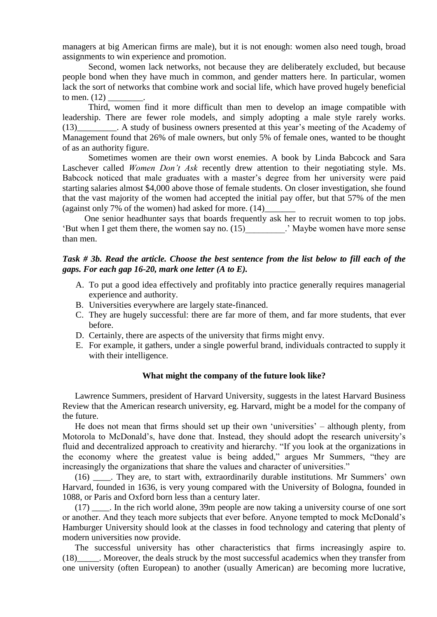managers at big American firms are male), but it is not enough: women also need tough, broad assignments to win experience and promotion.

Second, women lack networks, not because they are deliberately excluded, but because people bond when they have much in common, and gender matters here. In particular, women lack the sort of networks that combine work and social life, which have proved hugely beneficial to men.  $(12)$ 

Third, women find it more difficult than men to develop an image compatible with leadership. There are fewer role models, and simply adopting a male style rarely works. (13)\_\_\_\_\_\_\_\_\_. A study of business owners presented at this year's meeting of the Academy of Management found that 26% of male owners, but only 5% of female ones, wanted to be thought of as an authority figure.

Sometimes women are their own worst enemies. A book by Linda Babcock and Sara Laschever called *Women Don't Ask* recently drew attention to their negotiating style. Ms. Babcock noticed that male graduates with a master's degree from her university were paid starting salaries almost \$4,000 above those of female students. On closer investigation, she found that the vast majority of the women had accepted the initial pay offer, but that 57% of the men (against only 7% of the women) had asked for more.  $(14)$ 

 One senior headhunter says that boards frequently ask her to recruit women to top jobs. 'But when I get them there, the women say no. (15)\_\_\_\_\_\_\_\_\_.' Maybe women have more sense than men.

#### *Task # 3b. Read the article. Choose the best sentence from the list below to fill each of the gaps. For each gap 16-20, mark one letter (A to E).*

- A. To put a good idea effectively and profitably into practice generally requires managerial experience and authority.
- B. Universities everywhere are largely state-financed.
- C. They are hugely successful: there are far more of them, and far more students, that ever before.
- D. Certainly, there are aspects of the university that firms might envy.
- E. For example, it gathers, under a single powerful brand, individuals contracted to supply it with their intelligence.

#### **What might the company of the future look like?**

Lawrence Summers, president of Harvard University, suggests in the latest Harvard Business Review that the American research university, eg. Harvard, might be a model for the company of the future.

He does not mean that firms should set up their own 'universities' – although plenty, from Motorola to McDonald's, have done that. Instead, they should adopt the research university's fluid and decentralized approach to creativity and hierarchy. "If you look at the organizations in the economy where the greatest value is being added," argues Mr Summers, "they are increasingly the organizations that share the values and character of universities."

(16) \_\_\_\_. They are, to start with, extraordinarily durable institutions. Mr Summers' own Harvard, founded in 1636, is very young compared with the University of Bologna, founded in 1088, or Paris and Oxford born less than a century later.

(17) \_\_\_\_. In the rich world alone, 39m people are now taking a university course of one sort or another. And they teach more subjects that ever before. Anyone tempted to mock McDonald's Hamburger University should look at the classes in food technology and catering that plenty of modern universities now provide.

The successful university has other characteristics that firms increasingly aspire to. (18)\_\_\_\_\_. Moreover, the deals struck by the most successful academics when they transfer from one university (often European) to another (usually American) are becoming more lucrative,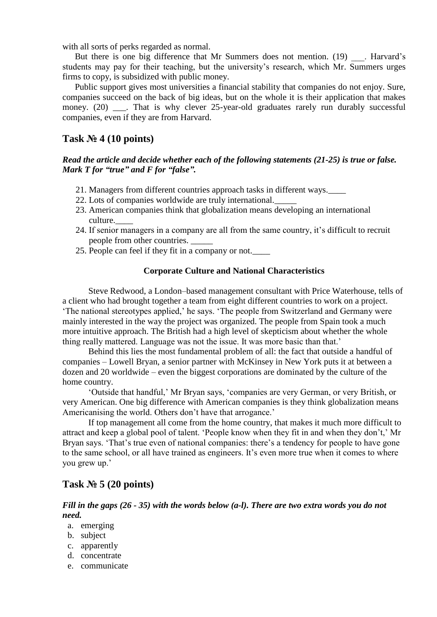with all sorts of perks regarded as normal.

But there is one big difference that Mr Summers does not mention. (19) . Harvard's students may pay for their teaching, but the university's research, which Mr. Summers urges firms to copy, is subsidized with public money.

Public support gives most universities a financial stability that companies do not enjoy. Sure, companies succeed on the back of big ideas, but on the whole it is their application that makes money. (20) \_\_\_. That is why clever 25-year-old graduates rarely run durably successful companies, even if they are from Harvard.

## **Task № 4 (10 points)**

#### *Read the article and decide whether each of the following statements (21-25) is true or false. Mark T for "true" and F for "false".*

- 21. Managers from different countries approach tasks in different ways.\_\_\_\_
- 22. Lots of companies worldwide are truly international.\_\_\_\_\_
- 23. American companies think that globalization means developing an international culture.\_\_\_\_
- 24. If senior managers in a company are all from the same country, it's difficult to recruit people from other countries. \_\_\_\_\_
- 25. People can feel if they fit in a company or not.\_\_\_\_

### **Corporate Culture and National Characteristics**

Steve Redwood, a London–based management consultant with Price Waterhouse, tells of a client who had brought together a team from eight different countries to work on a project. 'The national stereotypes applied,' he says. 'The people from Switzerland and Germany were mainly interested in the way the project was organized. The people from Spain took a much more intuitive approach. The British had a high level of skepticism about whether the whole thing really mattered. Language was not the issue. It was more basic than that.'

Behind this lies the most fundamental problem of all: the fact that outside a handful of companies – Lowell Bryan, a senior partner with McKinsey in New York puts it at between a dozen and 20 worldwide – even the biggest corporations are dominated by the culture of the home country.

'Outside that handful,' Mr Bryan says, 'companies are very German, or very British, or very American. One big difference with American companies is they think globalization means Americanising the world. Others don't have that arrogance.'

If top management all come from the home country, that makes it much more difficult to attract and keep a global pool of talent. 'People know when they fit in and when they don't,' Mr Bryan says. 'That's true even of national companies: there's a tendency for people to have gone to the same school, or all have trained as engineers. It's even more true when it comes to where you grew up.'

# **Task № 5 (20 points)**

*Fill in the gaps (26 - 35) with the words below (a-l). There are two extra words you do not need.*

- a. emerging
- b. subject
- c. apparently
- d. concentrate
- e. communicate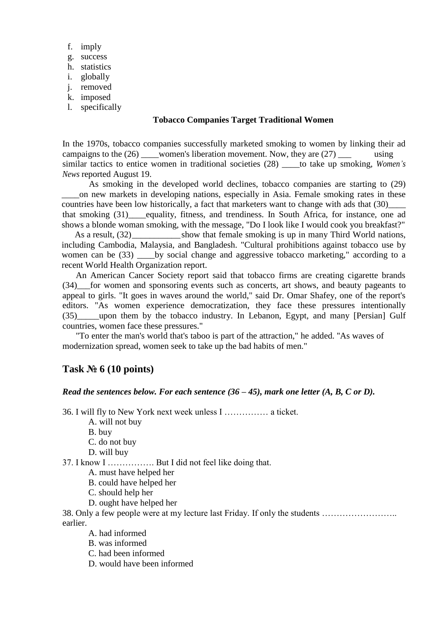- f. imply
- g. success
- h. statistics
- i. globally
- j. removed
- k. imposed
- l. specifically

### **Tobacco Companies Target Traditional Women**

In the 1970s, tobacco companies successfully marketed smoking to women by linking their ad campaigns to the  $(26)$  women's liberation movement. Now, they are  $(27)$  using similar tactics to entice women in traditional societies (28) \_\_\_\_to take up smoking, *Women's News* reported August 19.

As smoking in the developed world declines, tobacco companies are starting to (29) \_\_\_\_on new markets in developing nations, especially in Asia. Female smoking rates in these countries have been low historically, a fact that marketers want to change with ads that (30)\_\_\_\_ that smoking (31)\_\_\_\_equality, fitness, and trendiness. In South Africa, for instance, one ad shows a blonde woman smoking, with the message, "Do I look like I would cook you breakfast?"

As a result,  $(32)$  show that female smoking is up in many Third World nations, including Cambodia, Malaysia, and Bangladesh. "Cultural prohibitions against tobacco use by women can be (33) by social change and aggressive tobacco marketing," according to a recent World Health Organization report.

An American Cancer Society report said that tobacco firms are creating cigarette brands (34)\_\_\_for women and sponsoring events such as concerts, art shows, and beauty pageants to appeal to girls. "It goes in waves around the world," said Dr. Omar Shafey, one of the report's editors. "As women experience democratization, they face these pressures intentionally (35)\_\_\_\_\_upon them by the tobacco industry. In Lebanon, Egypt, and many [Persian] Gulf countries, women face these pressures."

"To enter the man's world that's taboo is part of the attraction," he added. ''As waves of modernization spread, women seek to take up the bad habits of men."

# **Task № 6 (10 points)**

#### *Read the sentences below. For each sentence (36 – 45), mark one letter (A, B, C or D).*

36. I will fly to New York next week unless I …………… a ticket.

A. will not buy

B. buy

- C. do not buy
- D. will buy

37. I know I ……………. But I did not feel like doing that.

A. must have helped her

B. could have helped her

- C. should help her
- D. ought have helped her

38. Only a few people were at my lecture last Friday. If only the students …………………….. earlier.

- A. had informed
- B. was informed
- C. had been informed
- D. would have been informed